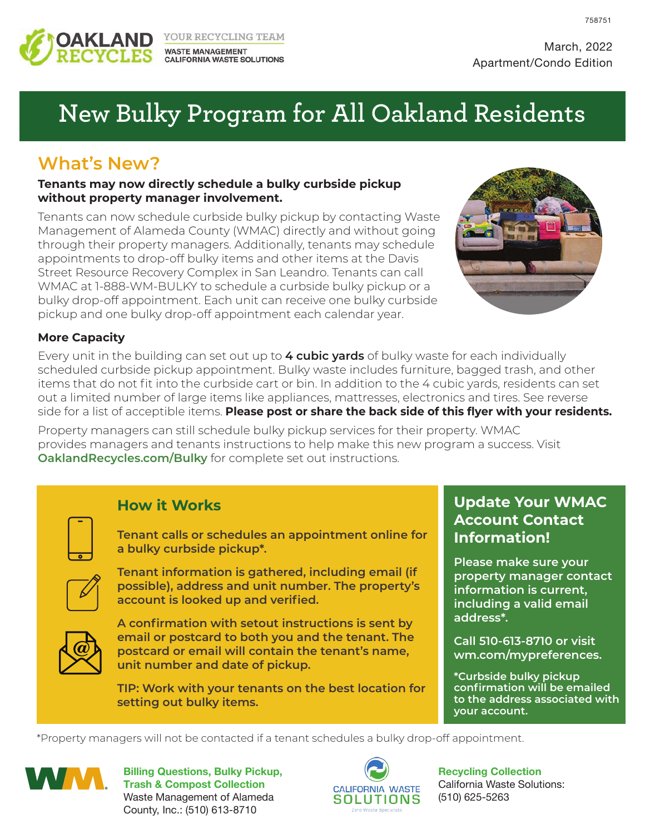

YOUR RECYCLING TEAM **WASTE MANAGEMENT CALIFORNIA WASTE SOLUTIONS**  758751

# **New Bulky Program for All Oakland Residents**

## **What's New?**

#### **Tenants may now directly schedule a bulky curbside pickup without property manager involvement.**

Tenants can now schedule curbside bulky pickup by contacting Waste Management of Alameda County (WMAC) directly and without going through their property managers. Additionally, tenants may schedule appointments to drop-off bulky items and other items at the Davis Street Resource Recovery Complex in San Leandro. Tenants can call WMAC at 1-888-WM-BULKY to schedule a curbside bulky pickup or a bulky drop-off appointment. Each unit can receive one bulky curbside pickup and one bulky drop-off appointment each calendar year.



#### **More Capacity**

Every unit in the building can set out up to **4 cubic yards** of bulky waste for each individually scheduled curbside pickup appointment. Bulky waste includes furniture, bagged trash, and other items that do not fit into the curbside cart or bin. In addition to the 4 cubic yards, residents can set out a limited number of large items like appliances, mattresses, electronics and tires. See reverse side for a list of acceptible items. **Please post or share the back side of this flyer with your residents.**

Property managers can still schedule bulky pickup services for their property. WMAC provides managers and tenants instructions to help make this new program a success. Visit **OaklandRecycles.com/Bulky** for complete set out instructions.



## **How it Works**

**Tenant calls or schedules an appointment online for a bulky curbside pickup\*.**



**Tenant information is gathered, including email (if possible), address and unit number. The property's account is looked up and verified.**



**A confirmation with setout instructions is sent by email or postcard to both you and the tenant. The postcard or email will contain the tenant's name, unit number and date of pickup.**

**TIP: Work with your tenants on the best location for setting out bulky items.**

## **Update Your WMAC Account Contact Information!**

**Please make sure your property manager contact information is current, including a valid email address\*.**

**Call 510-613-8710 or visit wm.com/mypreferences.**

**\*Curbside bulky pickup confirmation will be emailed to the address associated with your account.**

\*Property managers will not be contacted if a tenant schedules a bulky drop-off appointment.



**Billing Questions, Bulky Pickup, Trash & Compost Collection** Waste Management of Alameda County, Inc.: (510) 613-8710



**Recycling Collection** California Waste Solutions: (510) 625-5263